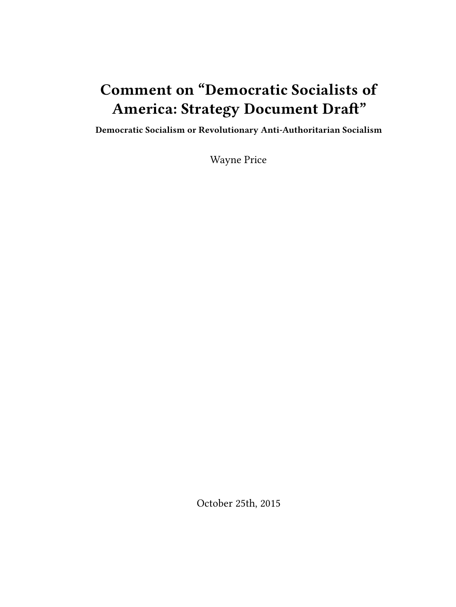# **Comment on "Democratic Socialists of America: Strategy Document Draft"**

**Democratic Socialism or Revolutionary Anti-Authoritarian Socialism**

Wayne Price

October 25th, 2015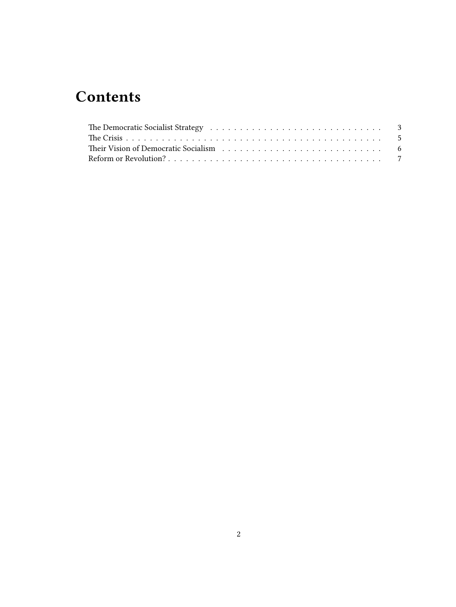## **Contents**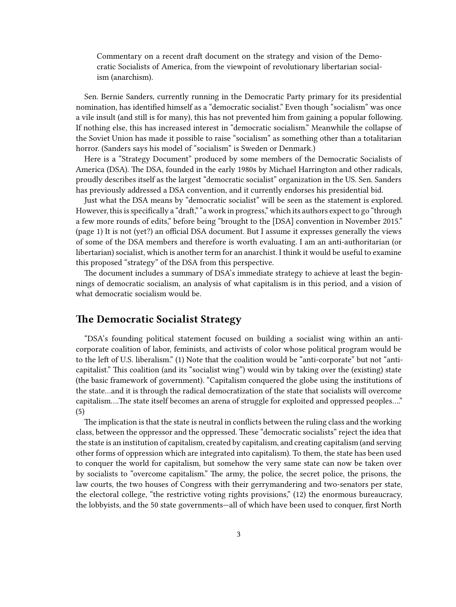Commentary on a recent draft document on the strategy and vision of the Democratic Socialists of America, from the viewpoint of revolutionary libertarian socialism (anarchism).

Sen. Bernie Sanders, currently running in the Democratic Party primary for its presidential nomination, has identified himself as a "democratic socialist." Even though "socialism" was once a vile insult (and still is for many), this has not prevented him from gaining a popular following. If nothing else, this has increased interest in "democratic socialism." Meanwhile the collapse of the Soviet Union has made it possible to raise "socialism" as something other than a totalitarian horror. (Sanders says his model of "socialism" is Sweden or Denmark.)

Here is a "Strategy Document" produced by some members of the Democratic Socialists of America (DSA). The DSA, founded in the early 1980s by Michael Harrington and other radicals, proudly describes itself as the largest "democratic socialist" organization in the US. Sen. Sanders has previously addressed a DSA convention, and it currently endorses his presidential bid.

Just what the DSA means by "democratic socialist" will be seen as the statement is explored. However, this is specifically a "draft," "a work in progress," which its authors expect to go "through a few more rounds of edits," before being "brought to the [DSA] convention in November 2015." (page 1) It is not (yet?) an official DSA document. But I assume it expresses generally the views of some of the DSA members and therefore is worth evaluating. I am an anti-authoritarian (or libertarian) socialist, which is another term for an anarchist. I think it would be useful to examine this proposed "strategy" of the DSA from this perspective.

The document includes a summary of DSA's immediate strategy to achieve at least the beginnings of democratic socialism, an analysis of what capitalism is in this period, and a vision of what democratic socialism would be.

#### <span id="page-2-0"></span>**The Democratic Socialist Strategy**

"DSA's founding political statement focused on building a socialist wing within an anticorporate coalition of labor, feminists, and activists of color whose political program would be to the left of U.S. liberalism." (1) Note that the coalition would be "anti-corporate" but not "anticapitalist." This coalition (and its "socialist wing") would win by taking over the (existing) state (the basic framework of government). "Capitalism conquered the globe using the institutions of the state…and it is through the radical democratization of the state that socialists will overcome capitalism….The state itself becomes an arena of struggle for exploited and oppressed peoples…." (5)

The implication is that the state is neutral in conflicts between the ruling class and the working class, between the oppressor and the oppressed. These "democratic socialists" reject the idea that the state is an institution of capitalism, created by capitalism, and creating capitalism (and serving other forms of oppression which are integrated into capitalism). To them, the state has been used to conquer the world for capitalism, but somehow the very same state can now be taken over by socialists to "overcome capitalism." The army, the police, the secret police, the prisons, the law courts, the two houses of Congress with their gerrymandering and two-senators per state, the electoral college, "the restrictive voting rights provisions," (12) the enormous bureaucracy, the lobbyists, and the 50 state governments—all of which have been used to conquer, first North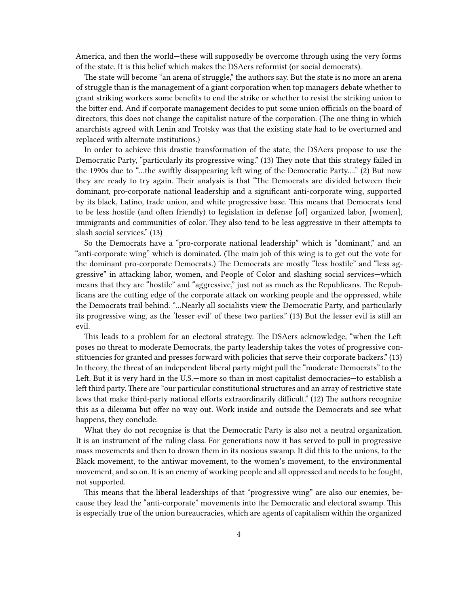America, and then the world—these will supposedly be overcome through using the very forms of the state. It is this belief which makes the DSAers reformist (or social democrats).

The state will become "an arena of struggle," the authors say. But the state is no more an arena of struggle than is the management of a giant corporation when top managers debate whether to grant striking workers some benefits to end the strike or whether to resist the striking union to the bitter end. And if corporate management decides to put some union officials on the board of directors, this does not change the capitalist nature of the corporation. (The one thing in which anarchists agreed with Lenin and Trotsky was that the existing state had to be overturned and replaced with alternate institutions.)

In order to achieve this drastic transformation of the state, the DSAers propose to use the Democratic Party, "particularly its progressive wing." (13) They note that this strategy failed in the 1990s due to "…the swiftly disappearing left wing of the Democratic Party…." (2) But now they are ready to try again. Their analysis is that "The Democrats are divided between their dominant, pro-corporate national leadership and a significant anti-corporate wing, supported by its black, Latino, trade union, and white progressive base. This means that Democrats tend to be less hostile (and often friendly) to legislation in defense [of] organized labor, [women], immigrants and communities of color. They also tend to be less aggressive in their attempts to slash social services." (13)

So the Democrats have a "pro-corporate national leadership" which is "dominant," and an "anti-corporate wing" which is dominated. (The main job of this wing is to get out the vote for the dominant pro-corporate Democrats.) The Democrats are mostly "less hostile" and "less aggressive" in attacking labor, women, and People of Color and slashing social services—which means that they are "hostile" and "aggressive," just not as much as the Republicans. The Republicans are the cutting edge of the corporate attack on working people and the oppressed, while the Democrats trail behind. "…Nearly all socialists view the Democratic Party, and particularly its progressive wing, as the 'lesser evil' of these two parties." (13) But the lesser evil is still an evil.

This leads to a problem for an electoral strategy. The DSAers acknowledge, "when the Left poses no threat to moderate Democrats, the party leadership takes the votes of progressive constituencies for granted and presses forward with policies that serve their corporate backers." (13) In theory, the threat of an independent liberal party might pull the "moderate Democrats" to the Left. But it is very hard in the U.S.—more so than in most capitalist democracies—to establish a left third party. There are "our particular constitutional structures and an array of restrictive state laws that make third-party national efforts extraordinarily difficult." (12) The authors recognize this as a dilemma but offer no way out. Work inside and outside the Democrats and see what happens, they conclude.

What they do not recognize is that the Democratic Party is also not a neutral organization. It is an instrument of the ruling class. For generations now it has served to pull in progressive mass movements and then to drown them in its noxious swamp. It did this to the unions, to the Black movement, to the antiwar movement, to the women's movement, to the environmental movement, and so on. It is an enemy of working people and all oppressed and needs to be fought, not supported.

This means that the liberal leaderships of that "progressive wing" are also our enemies, because they lead the "anti-corporate" movements into the Democratic and electoral swamp. This is especially true of the union bureaucracies, which are agents of capitalism within the organized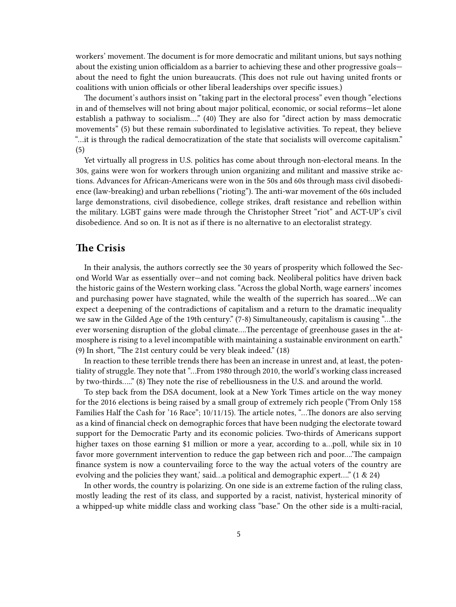workers' movement. The document is for more democratic and militant unions, but says nothing about the existing union officialdom as a barrier to achieving these and other progressive goals about the need to fight the union bureaucrats. (This does not rule out having united fronts or coalitions with union officials or other liberal leaderships over specific issues.)

The document's authors insist on "taking part in the electoral process" even though "elections in and of themselves will not bring about major political, economic, or social reforms—let alone establish a pathway to socialism…." (40) They are also for "direct action by mass democratic movements" (5) but these remain subordinated to legislative activities. To repeat, they believe "…it is through the radical democratization of the state that socialists will overcome capitalism." (5)

Yet virtually all progress in U.S. politics has come about through non-electoral means. In the 30s, gains were won for workers through union organizing and militant and massive strike actions. Advances for African-Americans were won in the 50s and 60s through mass civil disobedience (law-breaking) and urban rebellions ("rioting"). The anti-war movement of the 60s included large demonstrations, civil disobedience, college strikes, draft resistance and rebellion within the military. LGBT gains were made through the Christopher Street "riot" and ACT-UP's civil disobedience. And so on. It is not as if there is no alternative to an electoralist strategy.

#### <span id="page-4-0"></span>**The Crisis**

In their analysis, the authors correctly see the 30 years of prosperity which followed the Second World War as essentially over—and not coming back. Neoliberal politics have driven back the historic gains of the Western working class. "Across the global North, wage earners' incomes and purchasing power have stagnated, while the wealth of the superrich has soared….We can expect a deepening of the contradictions of capitalism and a return to the dramatic inequality we saw in the Gilded Age of the 19th century." (7-8) Simultaneously, capitalism is causing "…the ever worsening disruption of the global climate….The percentage of greenhouse gases in the atmosphere is rising to a level incompatible with maintaining a sustainable environment on earth." (9) In short, "The 21st century could be very bleak indeed." (18)

In reaction to these terrible trends there has been an increase in unrest and, at least, the potentiality of struggle. They note that "…From 1980 through 2010, the world's working class increased by two-thirds….." (8) They note the rise of rebelliousness in the U.S. and around the world.

To step back from the DSA document, look at a New York Times article on the way money for the 2016 elections is being raised by a small group of extremely rich people ("From Only 158 Families Half the Cash for '16 Race"; 10/11/15). The article notes, "…The donors are also serving as a kind of financial check on demographic forces that have been nudging the electorate toward support for the Democratic Party and its economic policies. Two-thirds of Americans support higher taxes on those earning \$1 million or more a year, according to a...poll, while six in 10 favor more government intervention to reduce the gap between rich and poor….'The campaign finance system is now a countervailing force to the way the actual voters of the country are evolving and the policies they want,' said…a political and demographic expert…." (1 & 24)

In other words, the country is polarizing. On one side is an extreme faction of the ruling class, mostly leading the rest of its class, and supported by a racist, nativist, hysterical minority of a whipped-up white middle class and working class "base." On the other side is a multi-racial,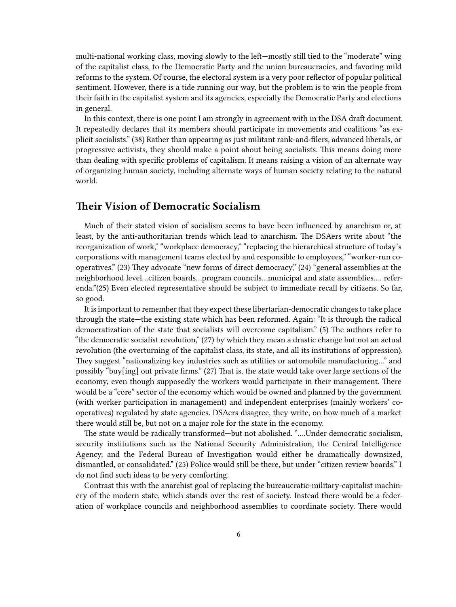multi-national working class, moving slowly to the left—mostly still tied to the "moderate" wing of the capitalist class, to the Democratic Party and the union bureaucracies, and favoring mild reforms to the system. Of course, the electoral system is a very poor reflector of popular political sentiment. However, there is a tide running our way, but the problem is to win the people from their faith in the capitalist system and its agencies, especially the Democratic Party and elections in general.

In this context, there is one point I am strongly in agreement with in the DSA draft document. It repeatedly declares that its members should participate in movements and coalitions "as explicit socialists." (38) Rather than appearing as just militant rank-and-filers, advanced liberals, or progressive activists, they should make a point about being socialists. This means doing more than dealing with specific problems of capitalism. It means raising a vision of an alternate way of organizing human society, including alternate ways of human society relating to the natural world.

#### <span id="page-5-0"></span>**Their Vision of Democratic Socialism**

Much of their stated vision of socialism seems to have been influenced by anarchism or, at least, by the anti-authoritarian trends which lead to anarchism. The DSAers write about "the reorganization of work," "workplace democracy," "replacing the hierarchical structure of today's corporations with management teams elected by and responsible to employees," "worker-run cooperatives." (23) They advocate "new forms of direct democracy," (24) "general assemblies at the neighborhood level…citizen boards…program councils…municipal and state assemblies…. referenda."(25) Even elected representative should be subject to immediate recall by citizens. So far, so good.

It is important to remember that they expect these libertarian-democratic changes to take place through the state—the existing state which has been reformed. Again: "It is through the radical democratization of the state that socialists will overcome capitalism." (5) The authors refer to "the democratic socialist revolution," (27) by which they mean a drastic change but not an actual revolution (the overturning of the capitalist class, its state, and all its institutions of oppression). They suggest "nationalizing key industries such as utilities or automobile manufacturing…" and possibly "buy[ing] out private firms." (27) That is, the state would take over large sections of the economy, even though supposedly the workers would participate in their management. There would be a "core" sector of the economy which would be owned and planned by the government (with worker participation in management) and independent enterprises (mainly workers' cooperatives) regulated by state agencies. DSAers disagree, they write, on how much of a market there would still be, but not on a major role for the state in the economy.

The state would be radically transformed—but not abolished. "….Under democratic socialism, security institutions such as the National Security Administration, the Central Intelligence Agency, and the Federal Bureau of Investigation would either be dramatically downsized, dismantled, or consolidated." (25) Police would still be there, but under "citizen review boards." I do not find such ideas to be very comforting.

Contrast this with the anarchist goal of replacing the bureaucratic-military-capitalist machinery of the modern state, which stands over the rest of society. Instead there would be a federation of workplace councils and neighborhood assemblies to coordinate society. There would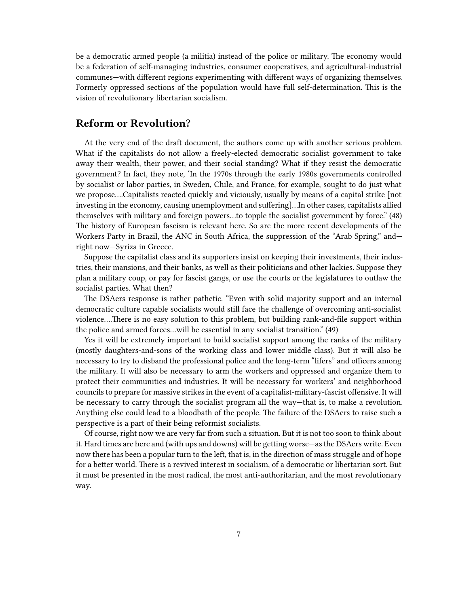be a democratic armed people (a militia) instead of the police or military. The economy would be a federation of self-managing industries, consumer cooperatives, and agricultural-industrial communes—with different regions experimenting with different ways of organizing themselves. Formerly oppressed sections of the population would have full self-determination. This is the vision of revolutionary libertarian socialism.

### <span id="page-6-0"></span>**Reform or Revolution?**

At the very end of the draft document, the authors come up with another serious problem. What if the capitalists do not allow a freely-elected democratic socialist government to take away their wealth, their power, and their social standing? What if they resist the democratic government? In fact, they note, 'In the 1970s through the early 1980s governments controlled by socialist or labor parties, in Sweden, Chile, and France, for example, sought to do just what we propose….Capitalists reacted quickly and viciously, usually by means of a capital strike [not investing in the economy, causing unemployment and suffering]…In other cases, capitalists allied themselves with military and foreign powers…to topple the socialist government by force." (48) The history of European fascism is relevant here. So are the more recent developments of the Workers Party in Brazil, the ANC in South Africa, the suppression of the "Arab Spring," and right now—Syriza in Greece.

Suppose the capitalist class and its supporters insist on keeping their investments, their industries, their mansions, and their banks, as well as their politicians and other lackies. Suppose they plan a military coup, or pay for fascist gangs, or use the courts or the legislatures to outlaw the socialist parties. What then?

The DSAers response is rather pathetic. "Even with solid majority support and an internal democratic culture capable socialists would still face the challenge of overcoming anti-socialist violence….There is no easy solution to this problem, but building rank-and-file support within the police and armed forces…will be essential in any socialist transition." (49)

Yes it will be extremely important to build socialist support among the ranks of the military (mostly daughters-and-sons of the working class and lower middle class). But it will also be necessary to try to disband the professional police and the long-term "lifers" and officers among the military. It will also be necessary to arm the workers and oppressed and organize them to protect their communities and industries. It will be necessary for workers' and neighborhood councils to prepare for massive strikes in the event of a capitalist-military-fascist offensive. It will be necessary to carry through the socialist program all the way—that is, to make a revolution. Anything else could lead to a bloodbath of the people. The failure of the DSAers to raise such a perspective is a part of their being reformist socialists.

Of course, right now we are very far from such a situation. But it is not too soon to think about it. Hard times are here and (with ups and downs) will be getting worse—as the DSAers write. Even now there has been a popular turn to the left, that is, in the direction of mass struggle and of hope for a better world. There is a revived interest in socialism, of a democratic or libertarian sort. But it must be presented in the most radical, the most anti-authoritarian, and the most revolutionary way.